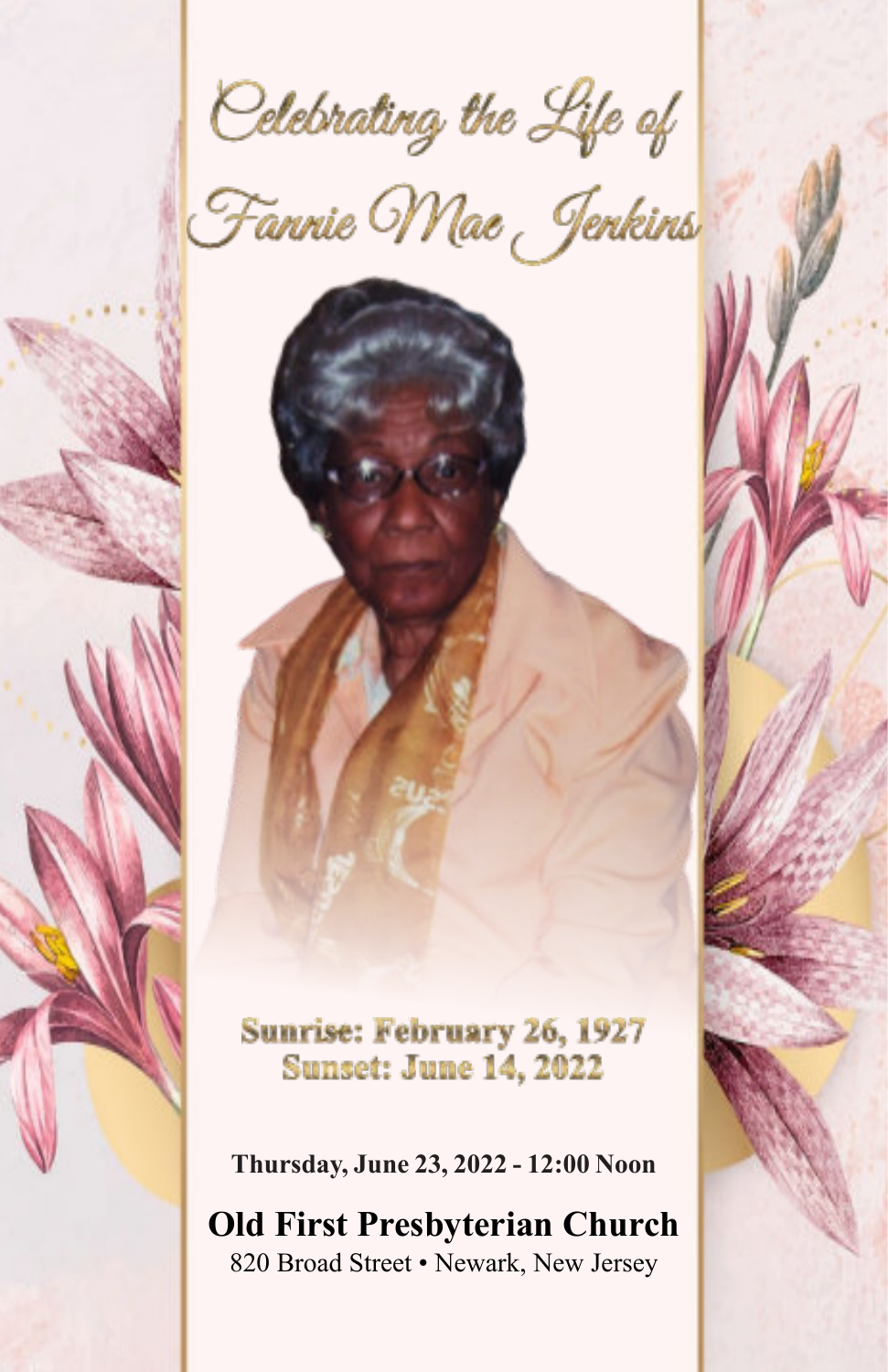Celebrating the Life of

Fannie Mae Jenkins

**Sunrise: February 26, 1927 Sunset: June 14, 2022** 

**Thursday, June 23, 2022 - 12:00 Noon**

**Old First Presbyterian Church** 820 Broad Street • Newark, New Jersey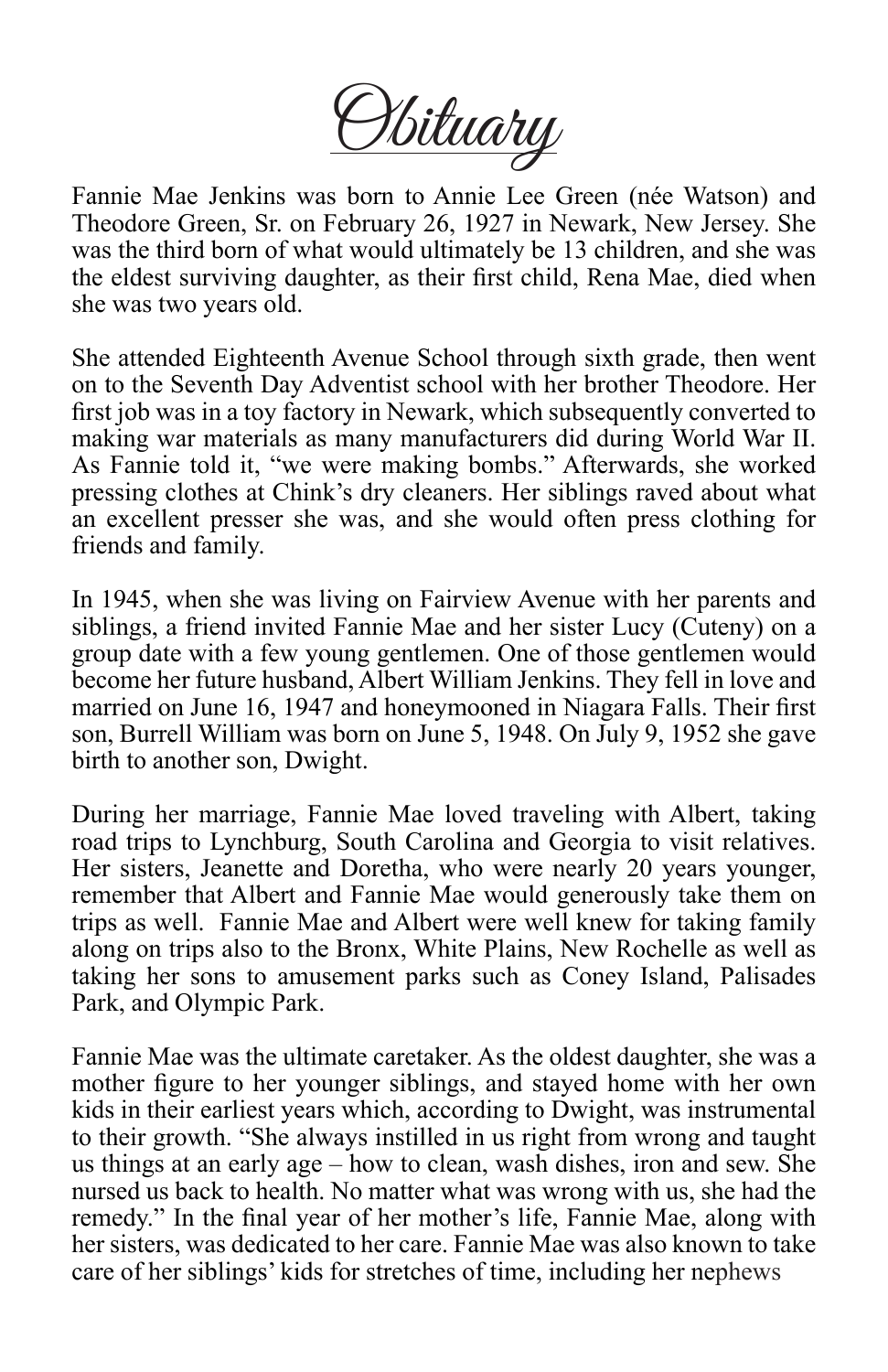Obituary

Fannie Mae Jenkins was born to Annie Lee Green (née Watson) and Theodore Green, Sr. on February 26, 1927 in Newark, New Jersey. She was the third born of what would ultimately be 13 children, and she was the eldest surviving daughter, as their first child, Rena Mae, died when she was two years old.

She attended Eighteenth Avenue School through sixth grade, then went on to the Seventh Day Adventist school with her brother Theodore. Her first job was in a toy factory in Newark, which subsequently converted to making war materials as many manufacturers did during World War II. As Fannie told it, "we were making bombs." Afterwards, she worked pressing clothes at Chink's dry cleaners. Her siblings raved about what an excellent presser she was, and she would often press clothing for friends and family.

In 1945, when she was living on Fairview Avenue with her parents and siblings, a friend invited Fannie Mae and her sister Lucy (Cuteny) on a group date with a few young gentlemen. One of those gentlemen would become her future husband, Albert William Jenkins. They fell in love and married on June 16, 1947 and honeymooned in Niagara Falls. Their first son, Burrell William was born on June 5, 1948. On July 9, 1952 she gave birth to another son, Dwight.

During her marriage, Fannie Mae loved traveling with Albert, taking road trips to Lynchburg, South Carolina and Georgia to visit relatives. Her sisters, Jeanette and Doretha, who were nearly 20 years younger, remember that Albert and Fannie Mae would generously take them on trips as well. Fannie Mae and Albert were well knew for taking family along on trips also to the Bronx, White Plains, New Rochelle as well as taking her sons to amusement parks such as Coney Island, Palisades Park, and Olympic Park.

Fannie Mae was the ultimate caretaker. As the oldest daughter, she was a mother figure to her younger siblings, and stayed home with her own kids in their earliest years which, according to Dwight, was instrumental to their growth. "She always instilled in us right from wrong and taught us things at an early age – how to clean, wash dishes, iron and sew. She nursed us back to health. No matter what was wrong with us, she had the remedy." In the final year of her mother's life, Fannie Mae, along with her sisters, was dedicated to her care. Fannie Mae was also known to take care of her siblings' kids for stretches of time, including her nephews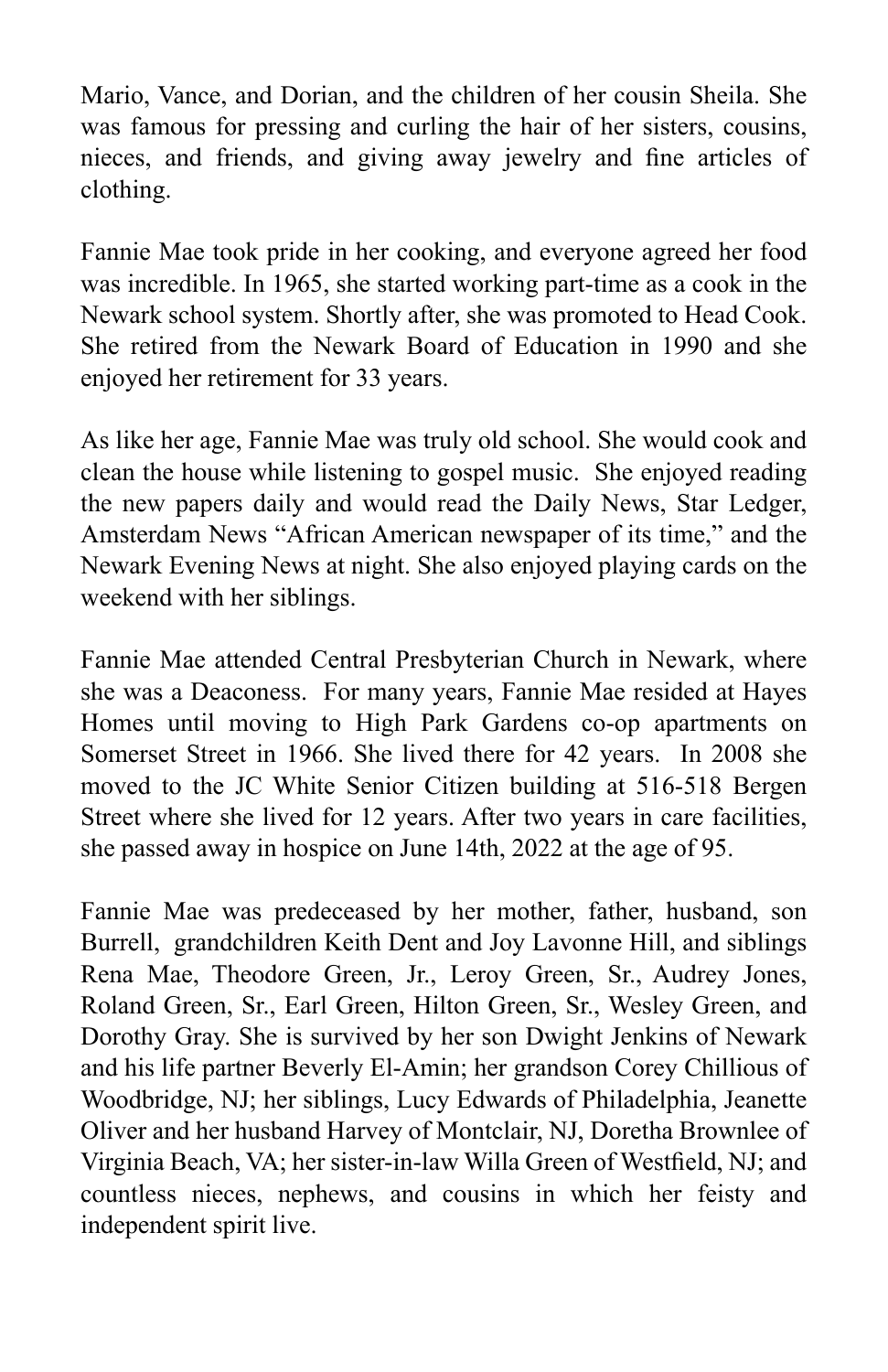Mario, Vance, and Dorian, and the children of her cousin Sheila. She was famous for pressing and curling the hair of her sisters, cousins, nieces, and friends, and giving away jewelry and fine articles of clothing.

Fannie Mae took pride in her cooking, and everyone agreed her food was incredible. In 1965, she started working part-time as a cook in the Newark school system. Shortly after, she was promoted to Head Cook. She retired from the Newark Board of Education in 1990 and she enjoyed her retirement for 33 years.

As like her age, Fannie Mae was truly old school. She would cook and clean the house while listening to gospel music. She enjoyed reading the new papers daily and would read the Daily News, Star Ledger, Amsterdam News "African American newspaper of its time," and the Newark Evening News at night. She also enjoyed playing cards on the weekend with her siblings.

Fannie Mae attended Central Presbyterian Church in Newark, where she was a Deaconess. For many years, Fannie Mae resided at Hayes Homes until moving to High Park Gardens co-op apartments on Somerset Street in 1966. She lived there for 42 years. In 2008 she moved to the JC White Senior Citizen building at 516-518 Bergen Street where she lived for 12 years. After two years in care facilities, she passed away in hospice on June 14th, 2022 at the age of 95.

Fannie Mae was predeceased by her mother, father, husband, son Burrell, grandchildren Keith Dent and Joy Lavonne Hill, and siblings Rena Mae, Theodore Green, Jr., Leroy Green, Sr., Audrey Jones, Roland Green, Sr., Earl Green, Hilton Green, Sr., Wesley Green, and Dorothy Gray. She is survived by her son Dwight Jenkins of Newark and his life partner Beverly El-Amin; her grandson Corey Chillious of Woodbridge, NJ; her siblings, Lucy Edwards of Philadelphia, Jeanette Oliver and her husband Harvey of Montclair, NJ, Doretha Brownlee of Virginia Beach, VA; her sister-in-law Willa Green of Westfield, NJ; and countless nieces, nephews, and cousins in which her feisty and independent spirit live.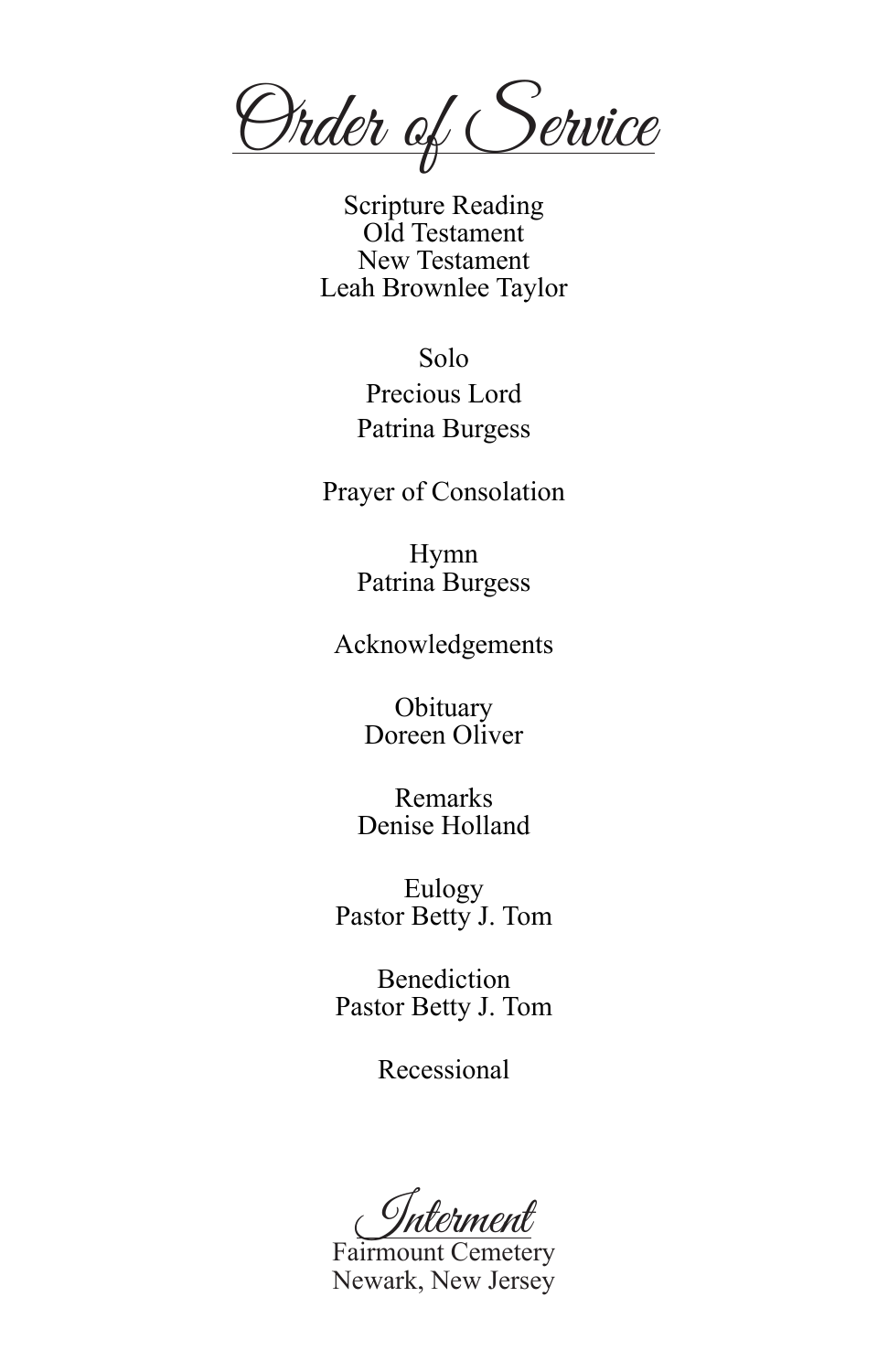Order of Service

Scripture Reading Old Testament New Testament Leah Brownlee Taylor

Solo Precious Lord Patrina Burgess

Prayer of Consolation

Hymn Patrina Burgess

Acknowledgements

**Obituary** Doreen Oliver

Remarks Denise Holland

Eulogy Pastor Betty J. Tom

Benediction Pastor Betty J. Tom

Recessional

Interment

Fairmount Cemetery Newark, New Jersey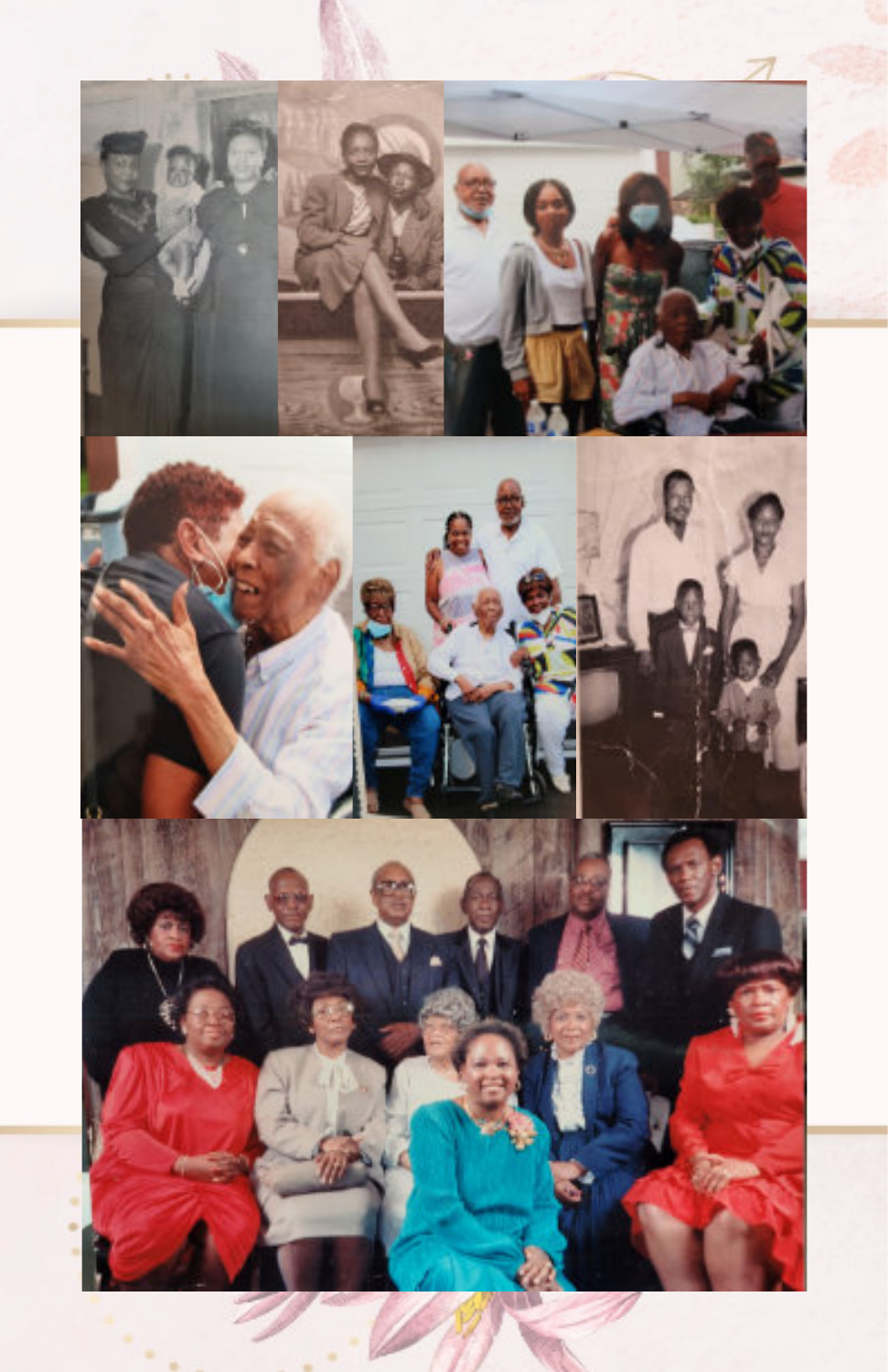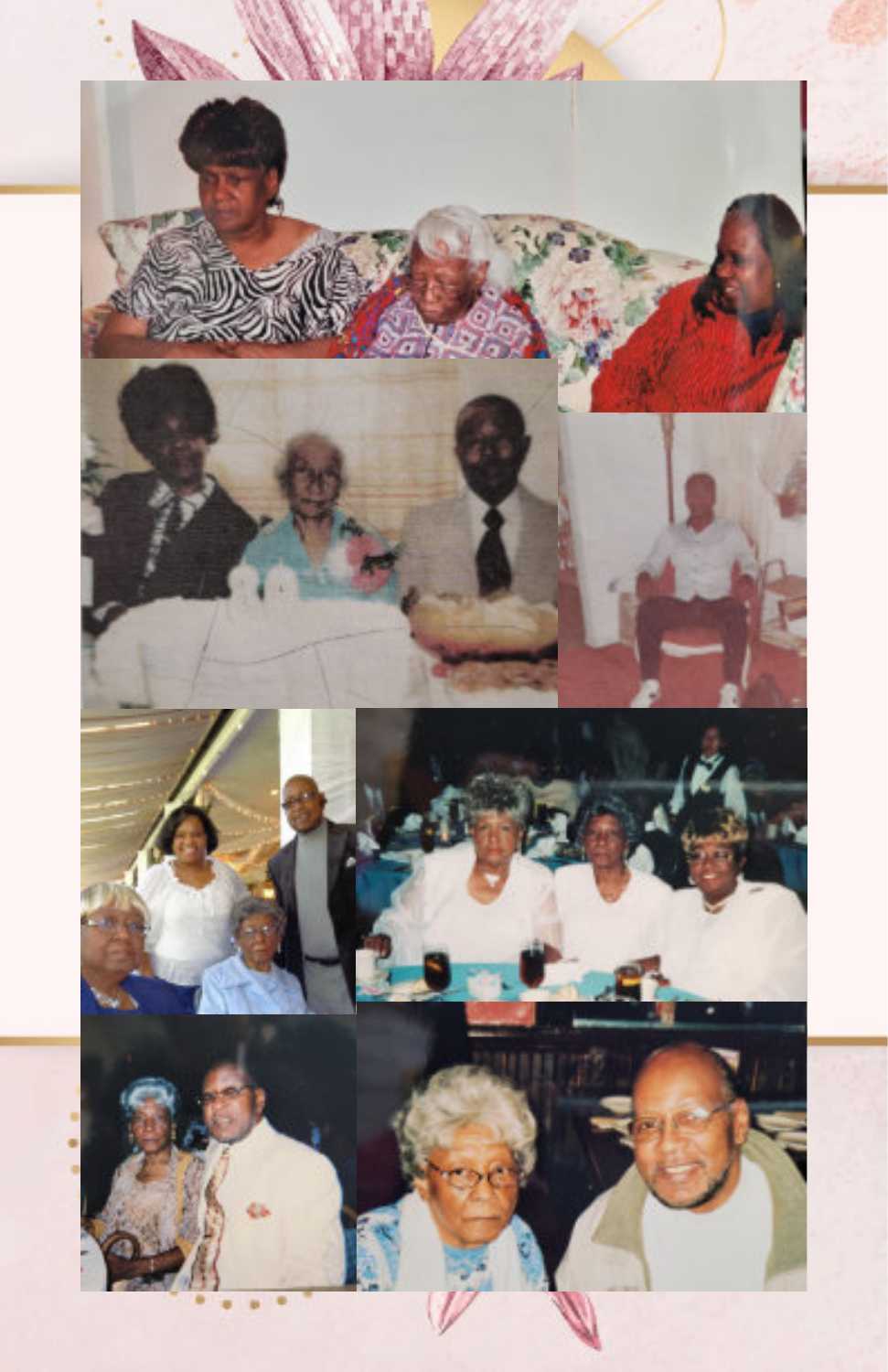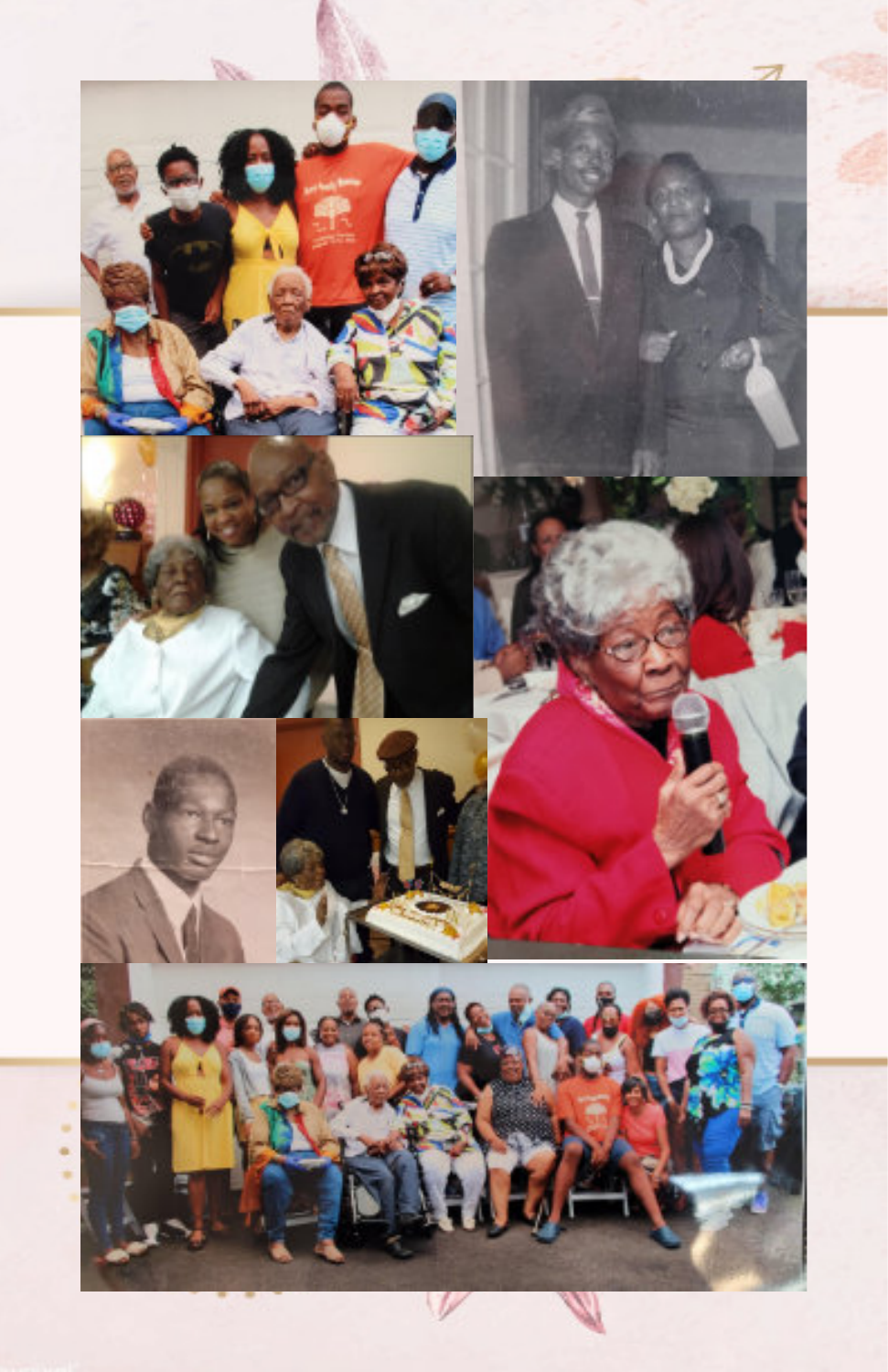